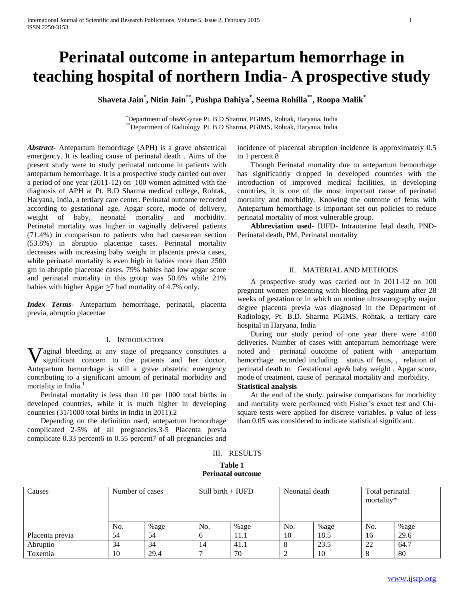# **Perinatal outcome in antepartum hemorrhage in teaching hospital of northern India- A prospective study**

**Shaveta Jain\* , Nitin Jain\*\*, Pushpa Dahiya\* , Seema Rohilla\*\*, Roopa Malik\***

\*Department of obs&Gynae Pt. B.D Sharma, PGIMS, Rohtak, Haryana, India \*\*Department of Radiology Pt. B.D Sharma, PGIMS, Rohtak, Haryana, India

*Abstract***-** Antepartum hemorrhage (APH) is a grave obstetrical emergency. It is leading cause of perinatal death . Aims of the present study were to study perinatal outcome in patients with antepartum hemorrhage. It is a prospective study carried out over a period of one year (2011-12) on 100 women admitted with the diagnosis of APH at Pt. B.D Sharma medical college, Rohtak, Haryana, India, a tertiary care center. Perinatal outcome recorded according to gestational age, Apgar score, mode of delivery, weight of baby, neonatal mortality and morbidity. Perinatal mortality was higher in vaginally delivered patients (71.4%) in comparison to patients who had caesarean section (53.8%) in abruptio placentae cases. Perinatal mortality decreases with increasing baby weight in placenta previa cases, while perinatal mortality is even high in babies more than 2500 gm in abruptio placentae cases. 79% babies had low apgar score and perinatal mortality in this group was 50.6% while 21% babies with higher Apgar  $\geq$ 7 had mortality of 4.7% only.

*Index Terms*- Antepartum hemorrhage, perinatal, placenta previa, abruptio placentae

## I. INTRODUCTION

**V** aginal bleeding at any stage of pregnancy constitutes a significant concern to the patients and her doctor. significant concern to the patients and her doctor. Antepartum hemorrhage is still a grave obstetric emergency contributing to a significant amount of perinatal morbidity and mortality in India.<sup>1</sup>

 Perinatal mortality is less than 10 per 1000 total births in developed countries, while it is much higher in developing countries (31/1000 total births in India in 2011).2

 Depending on the definition used, antepartum hemorrhage complicated 2-5% of all pregnancies.3-5 Placenta previa complicate 0.33 percent6 to 0.55 percent7 of all pregnancies and incidence of placental abruption incidence is approximately 0.5 to 1 percent.8

 Though Perinatal mortality due to antepartum hemorrhage has significantly dropped in developed countries with the introduction of improved medical facilities, in developing countries, it is one of the most important cause of perinatal mortality and morbidity. Knowing the outcome of fetus with Antepartum hemorrhage is important set out policies to reduce perinatal mortality of most vulnerable group.

 **Abbreviation used**- IUFD- Intrauterine fetal death, PND-Perinatal death, PM, Perinatal mortality

## II. MATERIAL AND METHODS

 A prospective study was carried out in 2011-12 on 100 pregnant women presenting with bleeding per vaginum after 28 weeks of gestation or in which on routine ultrasonography major degree placenta previa was diagnosed in the Department of Radiology, Pt. B.D. Sharma PGIMS, Rohtak, a tertiary care hospital in Haryana, India

 During our study period of one year there were 4100 deliveries. Number of cases with antepartum hemorrhage were noted and perinatal outcome of patient with antepartum hemorrhage recorded including status of fetus, , relation of perinatal death to Gestational age& baby weight , Apgar score, mode of treatment, cause of perinatal mortality and morbidity. **Statistical analysis**

 At the end of the study, pairwise comparisons for morbidity and mortality were performed with Fisher's exact test and Chisquare tests were applied for discrete variables. p value of less than 0.05 was considered to indicate statistical significant.

# III. RESULTS **Table 1 Perinatal outcome**

| Causes          | Number of cases |      | $Still birth + IUFD$ |             | Neonatal death |      | Total perinatal<br>mortality* |         |
|-----------------|-----------------|------|----------------------|-------------|----------------|------|-------------------------------|---------|
|                 | No.             | %age | No.                  | No.<br>%age |                | %age | No.                           | $%$ age |
| Placenta previa | 54              | 54   |                      | 11.1        | 10             | 18.5 | 16                            | 29.6    |
| Abruptio        | 34              | 34   | 41.1<br>14           |             |                | 23.5 | 22                            | 64.7    |
| Toxemia         | 10              | 29.4 |                      | 70          | 10             |      |                               | 80      |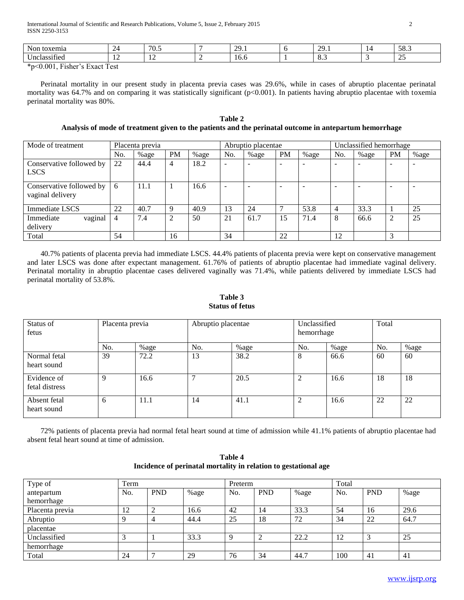International Journal of Scientific and Research Publications, Volume 5, Issue 2, February 2015 2 ISSN 2250-3153

| $\mathbf{v}$<br>Non<br>toxemia      | $\overline{\phantom{a}}$<br>∼<br>- | $70^{\circ}$<br>$'U_{\cdot\cdot}$ | ററ<br>$\sim$ | $\gamma$<br>$\sim$ $\sim$ $\sim$ | - | $\sim$ $\sim$<br>. .,<br>J0.J          |
|-------------------------------------|------------------------------------|-----------------------------------|--------------|----------------------------------|---|----------------------------------------|
| $ -$<br>$\sim$<br>Jnc<br>:Iassified | $\sim$<br>                         | $\sim$<br>.                       | . v.v        | ັບ∙ິ                             |   | - -<br>$\overline{\phantom{a}}$<br>ب س |

\*p<0.001, Fisher's Exact Test

 Perinatal mortality in our present study in placenta previa cases was 29.6%, while in cases of abruptio placentae perinatal mortality was 64.7% and on comparing it was statistically significant (p<0.001). In patients having abruptio placentae with toxemia perinatal mortality was 80%.

| Table 2                                                                                                |
|--------------------------------------------------------------------------------------------------------|
| Analysis of mode of treatment given to the patients and the perinatal outcome in antepartum hemorrhage |

| Mode of treatment                            | Placenta previa |      |           |      |                          | Abruptio placentae       |           |      | Unclassified hemorrhage |      |                          |                          |
|----------------------------------------------|-----------------|------|-----------|------|--------------------------|--------------------------|-----------|------|-------------------------|------|--------------------------|--------------------------|
|                                              | No.             | %age | <b>PM</b> | %age | No.                      | %age                     | <b>PM</b> | %age | No.                     | %age | <b>PM</b>                | %age                     |
| Conservative followed by<br><b>LSCS</b>      | 22              | 44.4 | 4         | 18.2 | ÷                        | $\overline{\phantom{0}}$ |           |      |                         | -    | $\overline{\phantom{a}}$ | $\overline{\phantom{0}}$ |
| Conservative followed by<br>vaginal delivery | - 6             | 11.1 |           | 16.6 | $\overline{\phantom{0}}$ | $\overline{\phantom{0}}$ |           |      |                         | -    |                          | $\overline{\phantom{0}}$ |
| <b>Immediate LSCS</b>                        | 22              | 40.7 | 9         | 40.9 | 13                       | 24                       |           | 53.8 | $\overline{4}$          | 33.3 |                          | 25                       |
| Immediate<br>vaginal<br>delivery             | $\overline{4}$  | 7.4  | 2         | 50   | 21                       | 61.7                     | 15        | 71.4 | 8                       | 66.6 | 2                        | 25                       |
| Total                                        | 54              |      | 16        |      | 34                       |                          | 22        |      | 12                      |      | 3                        |                          |

 40.7% patients of placenta previa had immediate LSCS. 44.4% patients of placenta previa were kept on conservative management and later LSCS was done after expectant management. 61.76% of patients of abruptio placentae had immediate vaginal delivery. Perinatal mortality in abruptio placentae cases delivered vaginally was 71.4%, while patients delivered by immediate LSCS had perinatal mortality of 53.8%.

**Table 3 Status of fetus**

| Status of<br>fetus            | Placenta previa |      | Abruptio placentae |      | Unclassified<br>hemorrhage |         | Total |      |
|-------------------------------|-----------------|------|--------------------|------|----------------------------|---------|-------|------|
|                               | No.             | %age | No.                | %age | No.                        | $%$ age | No.   | %age |
| Normal fetal<br>heart sound   | 39              | 72.2 | 13                 | 38.2 | 8                          | 66.6    | 60    | 60   |
| Evidence of<br>fetal distress | 9               | 16.6 | ┑                  | 20.5 | $\overline{2}$             | 16.6    | 18    | 18   |
| Absent fetal<br>heart sound   | 6               | 11.1 | 14                 | 41.1 | $\overline{2}$             | 16.6    | 22    | 22   |

 72% patients of placenta previa had normal fetal heart sound at time of admission while 41.1% patients of abruptio placentae had absent fetal heart sound at time of admission.

| Type of         | Term |            |      |     | Preterm    |      | Total |            |      |  |
|-----------------|------|------------|------|-----|------------|------|-------|------------|------|--|
| antepartum      | No.  | <b>PND</b> | %age | No. | <b>PND</b> | %age | No.   | <b>PND</b> | %age |  |
| hemorrhage      |      |            |      |     |            |      |       |            |      |  |
| Placenta previa | 12   | ◠<br>∠     | 16.6 | 42  | 14         | 33.3 | 54    | 16         | 29.6 |  |
| Abruptio        |      |            | 44.4 | 25  | 18         | 72   | 34    | 22         | 64.7 |  |
| placentae       |      |            |      |     |            |      |       |            |      |  |
| Unclassified    |      |            | 33.3 |     | ി          | 22.2 | 12    |            | 25   |  |
| hemorrhage      |      |            |      |     |            |      |       |            |      |  |
| Total           | 24   |            | 29   | 76  | 34         | 44.7 | 100   | -41        | 41   |  |

**Table 4 Incidence of perinatal mortality in relation to gestational age**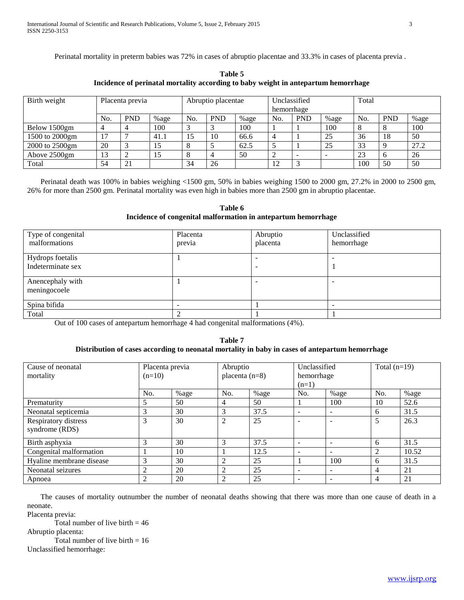Perinatal mortality in preterm babies was 72% in cases of abruptio placentae and 33.3% in cases of placenta previa .

| Birth weight    | Placenta previa |             |         | Abruptio placentae |            |         |            | Unclassified |         |     | Total      |      |  |
|-----------------|-----------------|-------------|---------|--------------------|------------|---------|------------|--------------|---------|-----|------------|------|--|
|                 |                 |             |         |                    |            |         | hemorrhage |              |         |     |            |      |  |
|                 | No.             | <b>PND</b>  | $%$ age | No.                | <b>PND</b> | $%$ age | No.        | <b>PND</b>   | $%$ age | No. | <b>PND</b> | %age |  |
| Below 1500gm    |                 |             | 100     |                    |            | 100     |            |              | 100     |     |            | 100  |  |
| 1500 to 2000gm  | 17              |             | 41.1    | 15                 | 10         | 66.6    |            |              | 25      | 36  | 18         | 50   |  |
| 2000 to 2500gm  | 20              |             | 15      |                    |            | 62.5    |            |              | 25      | 33  |            | 27.2 |  |
| Above $2500$ gm | 13              |             | 15      |                    |            | 50      |            |              |         | 23  |            | 26   |  |
| Total           | 54              | $\bigcap$ 1 |         | 34                 | 26         |         | 12         |              |         | 100 | 50         | 50   |  |

**Table 5 Incidence of perinatal mortality according to baby weight in antepartum hemorrhage**

 Perinatal death was 100% in babies weighing <1500 gm, 50% in babies weighing 1500 to 2000 gm, 27.2% in 2000 to 2500 gm, 26% for more than 2500 gm. Perinatal mortality was even high in babies more than 2500 gm in abruptio placentae.

**Table 6 Incidence of congenital malformation in antepartum hemorrhage**

| Type of congenital<br>malformations | Placenta<br>previa | Abruptio<br>placenta | Unclassified<br>hemorrhage |
|-------------------------------------|--------------------|----------------------|----------------------------|
| Hydrops foetalis                    |                    |                      |                            |
| Indeterminate sex                   |                    |                      |                            |
| Anencephaly with                    |                    |                      |                            |
| meningocoele                        |                    |                      |                            |
| Spina bifida                        |                    |                      |                            |
| Total                               |                    |                      |                            |

Out of 100 cases of antepartum hemorrhage 4 had congenital malformations (4%).

**Table 7 Distribution of cases according to neonatal mortality in baby in cases of antepartum hemorrhage**

| Cause of neonatal<br>mortality         | Placenta previa<br>$(n=10)$ |      | Abruptio<br>placenta $(n=8)$ |      | Unclassified<br>hemorrhage<br>$(n=1)$ |         | Total $(n=19)$ |       |
|----------------------------------------|-----------------------------|------|------------------------------|------|---------------------------------------|---------|----------------|-------|
|                                        | No.                         | %age | No.                          | %age | No.                                   | $%$ age | No.            | %age  |
| Prematurity                            | 5                           | 50   | 4                            | 50   |                                       | 100     | 10             | 52.6  |
| Neonatal septicemia                    | 3                           | 30   | 3                            | 37.5 | $\overline{\phantom{a}}$              | -       | 6              | 31.5  |
| Respiratory distress<br>syndrome (RDS) | 3                           | 30   | 2                            | 25   | $\overline{\phantom{a}}$              | ۰       | 5              | 26.3  |
| Birth asphyxia                         | 3                           | 30   | 3                            | 37.5 | <b>.</b>                              | -       | 6              | 31.5  |
| Congenital malformation                |                             | 10   |                              | 12.5 | $\overline{\phantom{a}}$              | -       | $\overline{c}$ | 10.52 |
| Hyaline membrane disease               | 3                           | 30   | 2                            | 25   |                                       | 100     | 6              | 31.5  |
| Neonatal seizures                      | 2                           | 20   | 2                            | 25   | $\overline{\phantom{a}}$              | -       | 4              | 21    |
| Apnoea                                 | 2                           | 20   | 2                            | 25   | $\overline{\phantom{a}}$              | -       | 4              | 21    |

 The causes of mortality outnumber the number of neonatal deaths showing that there was more than one cause of death in a neonate.

Placenta previa:

Total number of live birth  $= 46$ Abruptio placenta:

Total number of live birth  $= 16$ Unclassified hemorrhage: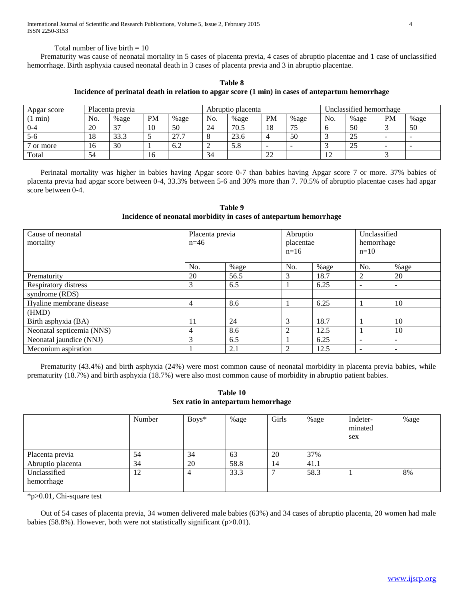International Journal of Scientific and Research Publications, Volume 5, Issue 2, February 2015 4 ISSN 2250-3153

Total number of live birth  $= 10$ 

 Prematurity was cause of neonatal mortality in 5 cases of placenta previa, 4 cases of abruptio placentae and 1 case of unclassified hemorrhage. Birth asphyxia caused neonatal death in 3 cases of placenta previa and 3 in abruptio placentae.

| Table 8                                                                                           |
|---------------------------------------------------------------------------------------------------|
| Incidence of perinatal death in relation to apgar score (1 min) in cases of antepartum hemorrhage |

| Apgar score | Placenta previa |         |           |      |     | Abruptio placenta |                      |      |     | Unclassified hemorrhage |           |                          |  |
|-------------|-----------------|---------|-----------|------|-----|-------------------|----------------------|------|-----|-------------------------|-----------|--------------------------|--|
| min)        | No.             | $%$ age | <b>PM</b> | %age | No. | %age              | <b>PM</b>            | %age | No. | %age                    | <b>PM</b> | %age                     |  |
| $0 - 4$     | 20              | 27<br>◡ | 10        | 50   | 24  | 70.5              | 18                   | 75   |     | 50                      |           | 50                       |  |
| 5-6         | 18              | 33.3    |           | 277  |     | 23.6              |                      | 50   |     | نە                      |           | $\overline{\phantom{a}}$ |  |
| or more     | 16              | 30      |           | 6.2  |     | 5.8               | -                    |      |     |                         |           |                          |  |
| Total       | 54              |         | 16        |      | 34  |                   | ററ<br>$\angle\angle$ |      |     |                         |           |                          |  |

 Perinatal mortality was higher in babies having Apgar score 0-7 than babies having Apgar score 7 or more. 37% babies of placenta previa had apgar score between 0-4, 33.3% between 5-6 and 30% more than 7. 70.5% of abruptio placentae cases had apgar score between 0-4.

**Table 9 Incidence of neonatal morbidity in cases of antepartum hemorrhage**

| Cause of neonatal<br>mortality | Placenta previa<br>$n=46$ |      | Abruptio<br>placentae<br>$n=16$ |      | Unclassified<br>hemorrhage<br>$n=10$ |                          |  |
|--------------------------------|---------------------------|------|---------------------------------|------|--------------------------------------|--------------------------|--|
|                                | No.                       | %age | No.                             | %age | No.                                  | %age                     |  |
| Prematurity                    | 20                        | 56.5 | 3                               | 18.7 | 2                                    | 20                       |  |
| Respiratory distress           | 3                         | 6.5  |                                 | 6.25 | $\overline{\phantom{a}}$             |                          |  |
| syndrome (RDS)                 |                           |      |                                 |      |                                      |                          |  |
| Hyaline membrane disease       | 4                         | 8.6  |                                 | 6.25 |                                      | 10                       |  |
| (HMD)                          |                           |      |                                 |      |                                      |                          |  |
| Birth asphyxia (BA)            | 11                        | 24   | 3                               | 18.7 |                                      | 10                       |  |
| Neonatal septicemia (NNS)      | 4                         | 8.6  | 2                               | 12.5 |                                      | 10                       |  |
| Neonatal jaundice (NNJ)        | 3                         | 6.5  |                                 | 6.25 | $\overline{\phantom{0}}$             | $\overline{\phantom{a}}$ |  |
| Meconium aspiration            |                           | 2.1  | 2                               | 12.5 | $\overline{\phantom{0}}$             |                          |  |

 Prematurity (43.4%) and birth asphyxia (24%) were most common cause of neonatal morbidity in placenta previa babies, while prematurity (18.7%) and birth asphyxia (18.7%) were also most common cause of morbidity in abruptio patient babies.

## **Table 10 Sex ratio in antepartum hemorrhage**

|                            | Number | Boys* | %age | Girls | %age | Indeter-<br>minated<br>sex | %age |
|----------------------------|--------|-------|------|-------|------|----------------------------|------|
| Placenta previa            | 54     | 34    | 63   | 20    | 37%  |                            |      |
| Abruptio placenta          | 34     | 20    | 58.8 | 14    | 41.1 |                            |      |
| Unclassified<br>hemorrhage | 12     | 4     | 33.3 |       | 58.3 |                            | 8%   |
|                            |        |       |      |       |      |                            |      |

\*p>0.01, Chi-square test

 Out of 54 cases of placenta previa, 34 women delivered male babies (63%) and 34 cases of abruptio placenta, 20 women had male babies (58.8%). However, both were not statistically significant (p>0.01).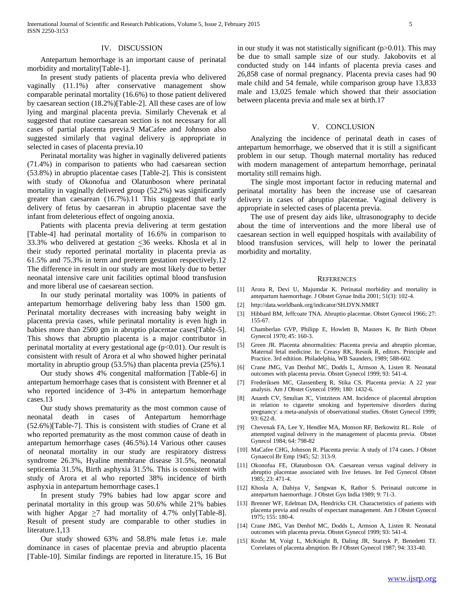## IV. DISCUSSION

 Antepartum hemorrhage is an important cause of perinatal morbidity and mortality[Table-1].

 In present study patients of placenta previa who delivered vaginally (11.1%) after conservative management show comparable perinatal mortality (16.6%) to those patient delivered by caesarean section (18.2%)[Table-2]. All these cases are of low lying and marginal placenta previa. Similarly Chevenak et al suggested that routine caesarean section is not necessary for all cases of partial placenta previa.9 MaCafee and Johnson also suggested similarly that vaginal delivery is appropriate in selected in cases of placenta previa.10

 Perinatal mortality was higher in vaginally delivered patients (71.4%) in comparison to patients who had caesarean section (53.8%) in abruptio placentae cases [Table-2]. This is consistent with study of Okonofua and Olatunboson where perinatal mortality in vaginally delivered group (52.2%) was significantly greater than caesarean (16.7%).11 This suggested that early delivery of fetus by caesarean in abruptio placentae save the infant from deleterious effect of ongoing anoxia.

 Patients with placenta previa delivering at term gestation [Table-4] had perinatal mortality of 16.6% in comparison to 33.3% who delivered at gestation  $\leq$ 36 weeks. Khosla et al in their study reported perinatal mortality in placenta previa as 61.5% and 75.3% in term and preterm gestation respectively.12 The difference in result in our study are most likely due to better neonatal intensive care unit facilities optimal blood transfusion and more liberal use of caesarean section.

 In our study perinatal mortality was 100% in patients of antepartum hemorrhage delivering baby less than 1500 gm. Perinatal mortality decreases with increasing baby weight in placenta previa cases, while perinatal mortality is even high in babies more than 2500 gm in abruptio placentae cases[Table-5]. This shows that abruptio placenta is a major contributor in perinatal mortality at every gestational age  $(p<0.01)$ . Our result is consistent with result of Arora et al who showed higher perinatal mortality in abruptio group (53.5%) than placenta previa (25%).1

 Our study shows 4% congenital malformation [Table-6] in antepartum hemorrhage cases that is consistent with Brenner et al who reported incidence of 3-4% in antepartum hemorrhage cases.13

 Our study shows prematurity as the most common cause of neonatal death in cases of Antepartum hemorrhage (52.6%)[Table-7]. This is consistent with studies of Crane et al who reported prematurity as the most common cause of death in antepartum hemorrhage cases (46.5%).14 Various other causes of neonatal mortality in our study are respiratory distress syndrome 26.3%, Hyaline membrane disease 31.5%, neonatal septicemia 31.5%, Birth asphyxia 31.5%. This is consistent with study of Arora et al who reported 38% incidence of birth asphyxia in antepartum hemorrhage cases.1

 In present study 79% babies had low apgar score and perinatal mortality in this group was 50.6% while 21% babies with higher Apgar  $\geq 7$  had mortality of 4.7% only[Table-8]. Result of present study are comparable to other studies in literature.1,13

 Our study showed 63% and 58.8% male fetus i.e. male dominance in cases of placentae previa and abruptio placenta [Table-10]. Similar findings are reported in literature.15, 16 But in our study it was not statistically significant  $(p>0.01)$ . This may be due to small sample size of our study. Jakobovits et al conducted study on 144 infants of placenta previa cases and 26,858 case of normal pregnancy. Placenta previa cases had 90 male child and 54 female, while comparison group have 13,833 male and 13,025 female which showed that their association between placenta previa and male sex at birth.17

### V. CONCLUSION

 Analyzing the incidence of perinatal death in cases of antepartum hemorrhage, we observed that it is still a significant problem in our setup. Though maternal mortality has reduced with modern management of antepartum hemorrhage, perinatal mortality still remains high.

 The single most important factor in reducing maternal and perinatal mortality has been the increase use of caesarean delivery in cases of abruptio placentae. Vaginal delivery is appropriate in selected cases of placenta previa.

 The use of present day aids like, ultrasonography to decide about the time of interventions and the more liberal use of caesarean section in well equipped hospitals with availability of blood transfusion services, will help to lower the perinatal morbidity and mortality.

#### **REFERENCES**

- [1] Arora R, Devi U, Majumdar K. Perinatal morbidity and mortality in antepartum haemorrhage. J Obstet Gynae India 2001; 51(3): 102-4.
- [2] http://data.worldbank.org/indicator/SH.DYN.NMRT
- [3] Hibbard BM, Jeffcoate TNA. Abruptio placentae. Obstet Gynecol 1966; 27: 155-67.
- [4] Chamberlan GVP, Philipp E, Howlett B, Masters K. Br Birth Obstet Gynecol 1970; 45: 160-3.
- [5] Green JR. Placenta abnormalities: Placenta previa and abruptio plcentae, Maternal fetal medicine. In: Creasy RK, Resnik R, editors. Principle and Practice. 3rd edtition. Philadelphia, WB Saunders, 1989; 588-602.
- [6] Crane JMG, Van Denhof MC, Dodds L, Armson A, Listen R. Neonatal outcomes with placenta previa. Obstet Gynecol 1999; 93: 541-4.
- [7] Frederiksen MC, Glassenberg R, Stika CS. Placenta previa: A 22 year analysis. Am J Obstet Gynecol 1999; 180: 1432-6.
- [8] Ananth CV, Smulian JC, Vintziteos AM. Incidence of placental abruption in relation to cigarette smoking and hypertensive disorders during pregnancy: a meta-analysis of observational studies. Obstet Gynecol 1999; 93: 622-8.
- [9] Chevenak FA, Lee Y, Hendlee MA, Monson RF, Berkowitz RL. Role of attempted vaginal delivery in the management of placenta previa. Obstet Gynecol 1984; 64: 798-82
- [10] MaCafee CHG, Johnson R. Placenta previa: A study of 174 cases. J Obstet Gynaecol Br Emp 1945; 52: 313-9.
- [11] Okonofua FE, Olatunboson OA. Caesarean versus vaginal delivery in abruptio placentae associated with live fetuses. Int Fed Gynecol Obstet 1985; 23: 471-4.
- [12] Khosla A, Dahiya V, Sangwan K, Rathor S. Perinatal outcome in antepartum haemorrhage. J Obstet Gyn India 1989; 9: 71-3.
- [13] Brenner WF, Edelman DA, Hendricks CH. Characteristics of patients with placenta previa and results of expectant management. Am J Obstet Gynecol 1975; 155: 180-4.
- [14] Crane JMG, Van Denhof MC, Dodds L, Armson A, Listen R. Neonatal outcomes with placenta previa. Obstet Gynecol 1999; 93: 541-4.
- [15] Krohn M, Voigt L, McKnight B, Daling JR, Starzyk P, Benedetti TJ. Correlates of placenta abruption. Br J Obstet Gynecol 1987; 94: 333-40.